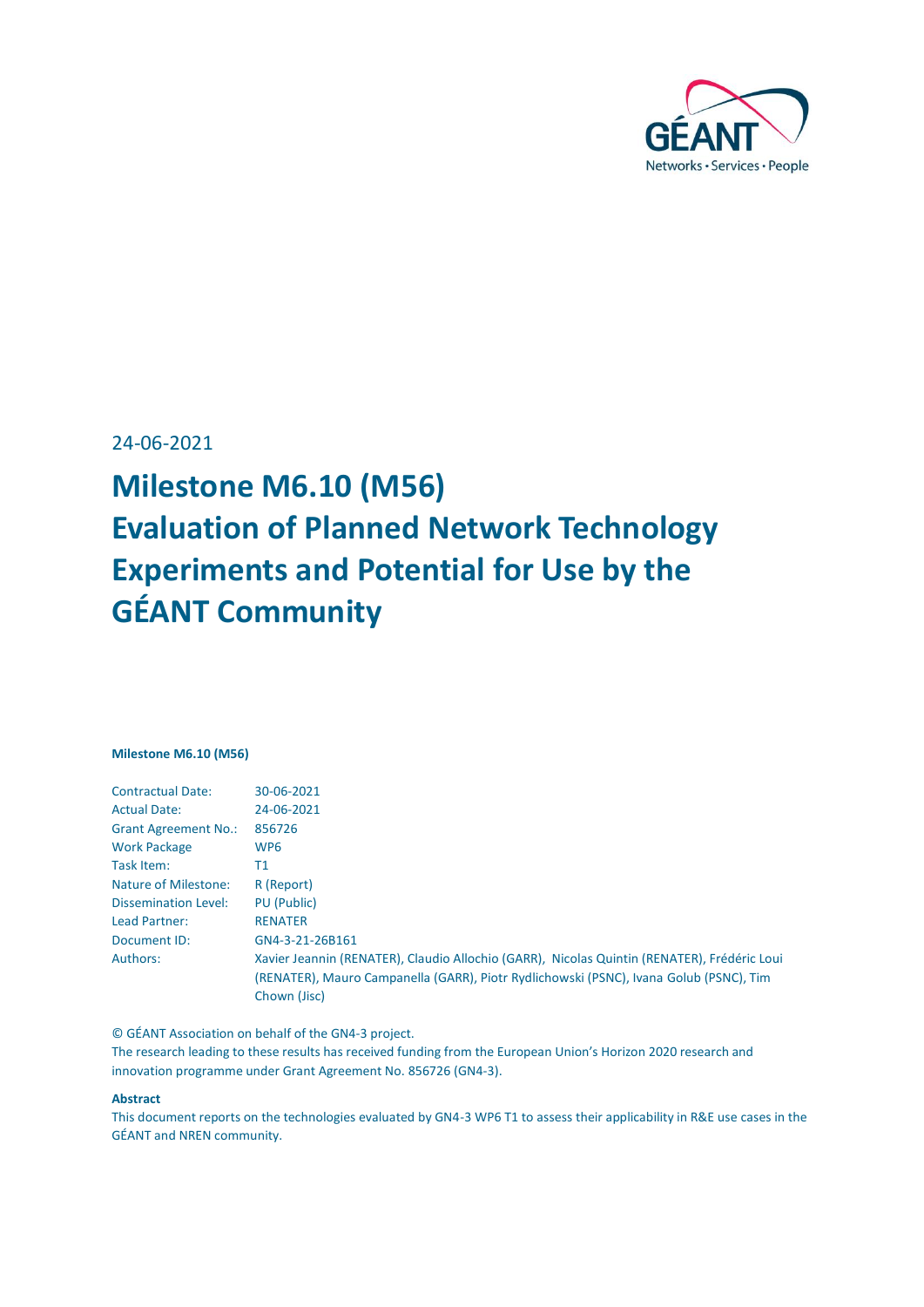

24-06-2021

# **Milestone M6.10 (M56) Evaluation of Planned Network Technology Experiments and Potential for Use by the GÉANT Community**

#### **Milestone M6.10 (M56)**

| <b>Contractual Date:</b>    | 30-06-2021                                                                                  |
|-----------------------------|---------------------------------------------------------------------------------------------|
| <b>Actual Date:</b>         | 24-06-2021                                                                                  |
| <b>Grant Agreement No.:</b> | 856726                                                                                      |
| <b>Work Package</b>         | WP <sub>6</sub>                                                                             |
| Task Item:                  | Τ1                                                                                          |
| Nature of Milestone:        | R (Report)                                                                                  |
| <b>Dissemination Level:</b> | <b>PU</b> (Public)                                                                          |
| Lead Partner:               | <b>RENATER</b>                                                                              |
| Document ID:                | GN4-3-21-26B161                                                                             |
| Authors:                    | Xavier Jeannin (RENATER), Claudio Allochio (GARR), Nicolas Quintin (RENATER), Frédéric Loui |
|                             | (RENATER), Mauro Campanella (GARR), Piotr Rydlichowski (PSNC), Ivana Golub (PSNC), Tim      |
|                             | Chown (Jisc)                                                                                |
|                             |                                                                                             |

© GÉANT Association on behalf of the GN4-3 project.

The research leading to these results has received funding from the European Union's Horizon 2020 research and innovation programme under Grant Agreement No. 856726 (GN4-3).

#### **Abstract**

This document reports on the technologies evaluated by GN4-3 WP6 T1 to assess their applicability in R&E use cases in the GÉANT and NREN community.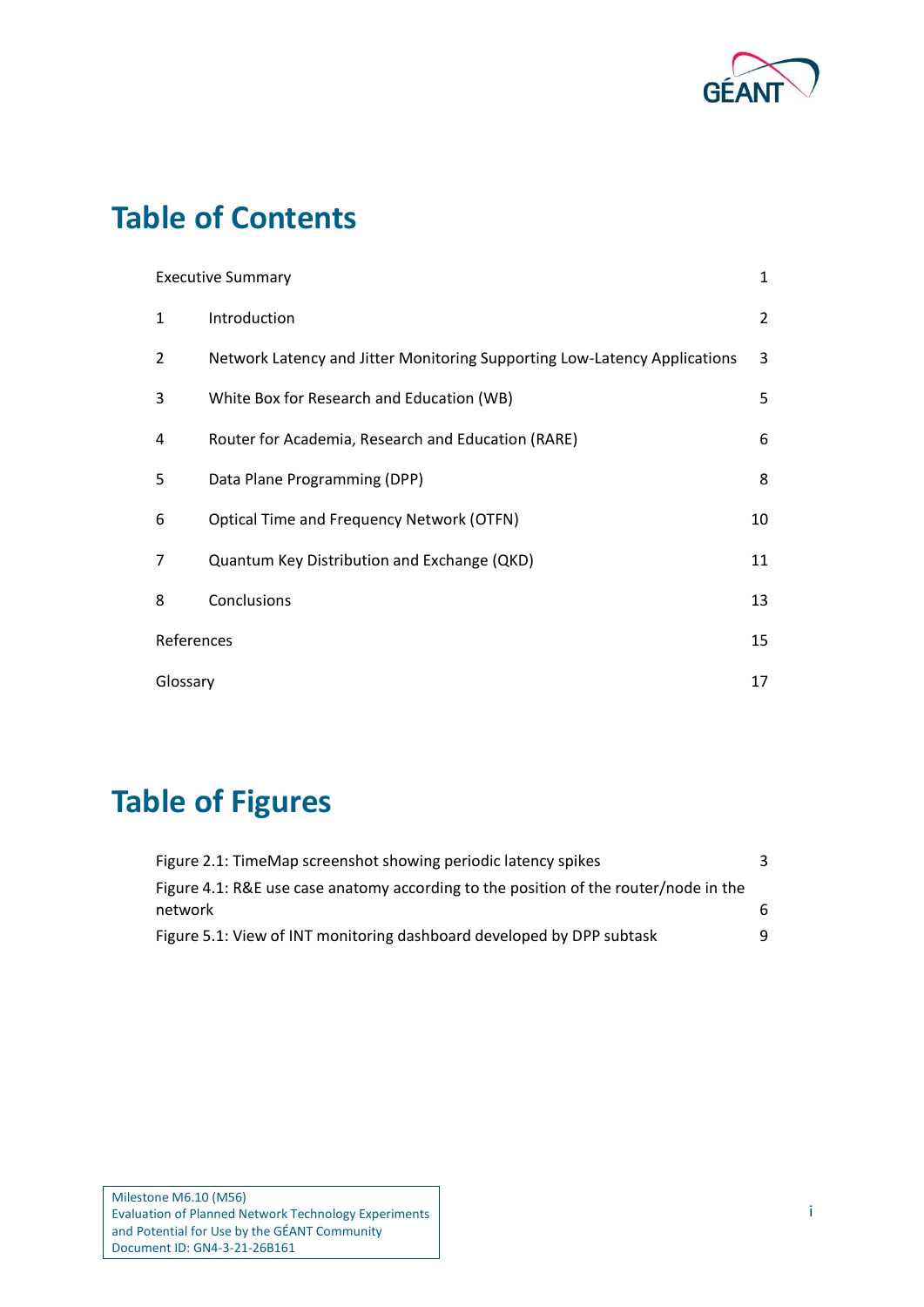

## **Table of Contents**

|              | <b>Executive Summary</b>                                                  |                |
|--------------|---------------------------------------------------------------------------|----------------|
| $\mathbf{1}$ | Introduction                                                              | $\overline{2}$ |
| 2            | Network Latency and Jitter Monitoring Supporting Low-Latency Applications | 3              |
| 3            | White Box for Research and Education (WB)                                 | 5              |
| 4            | Router for Academia, Research and Education (RARE)                        | 6              |
| 5            | Data Plane Programming (DPP)                                              | 8              |
| 6            | <b>Optical Time and Frequency Network (OTFN)</b>                          | 10             |
| 7            | Quantum Key Distribution and Exchange (QKD)                               | 11             |
| 8            | Conclusions                                                               | 13             |
| References   |                                                                           | 15             |
|              | Glossary                                                                  |                |

## **Table of Figures**

| Figure 2.1: TimeMap screenshot showing periodic latency spikes                       | 3 |
|--------------------------------------------------------------------------------------|---|
| Figure 4.1: R&E use case anatomy according to the position of the router/node in the |   |
| network                                                                              | 6 |
| Figure 5.1: View of INT monitoring dashboard developed by DPP subtask                | q |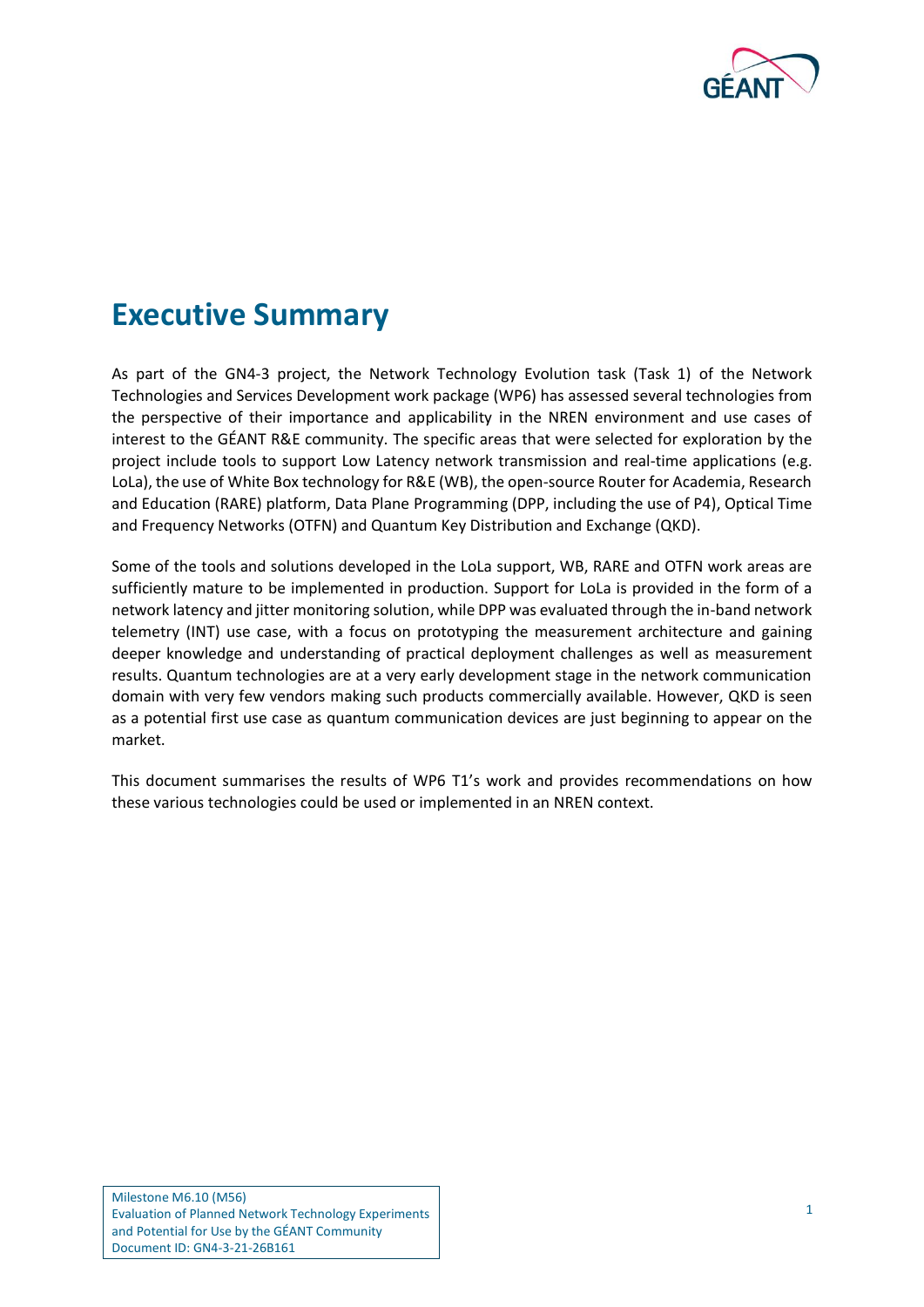

#### <span id="page-2-0"></span>**Executive Summary**

As part of the GN4-3 project, the Network Technology Evolution task (Task 1) of the Network Technologies and Services Development work package (WP6) has assessed several technologies from the perspective of their importance and applicability in the NREN environment and use cases of interest to the GÉANT R&E community. The specific areas that were selected for exploration by the project include tools to support Low Latency network transmission and real-time applications (e.g. LoLa), the use of White Box technology for R&E (WB), the open-source Router for Academia, Research and Education (RARE) platform, Data Plane Programming (DPP, including the use of P4), Optical Time and Frequency Networks (OTFN) and Quantum Key Distribution and Exchange (QKD).

Some of the tools and solutions developed in the LoLa support, WB, RARE and OTFN work areas are sufficiently mature to be implemented in production. Support for LoLa is provided in the form of a network latency and jitter monitoring solution, while DPP was evaluated through the in-band network telemetry (INT) use case, with a focus on prototyping the measurement architecture and gaining deeper knowledge and understanding of practical deployment challenges as well as measurement results. Quantum technologies are at a very early development stage in the network communication domain with very few vendors making such products commercially available. However, QKD is seen as a potential first use case as quantum communication devices are just beginning to appear on the market.

This document summarises the results of WP6 T1's work and provides recommendations on how these various technologies could be used or implemented in an NREN context.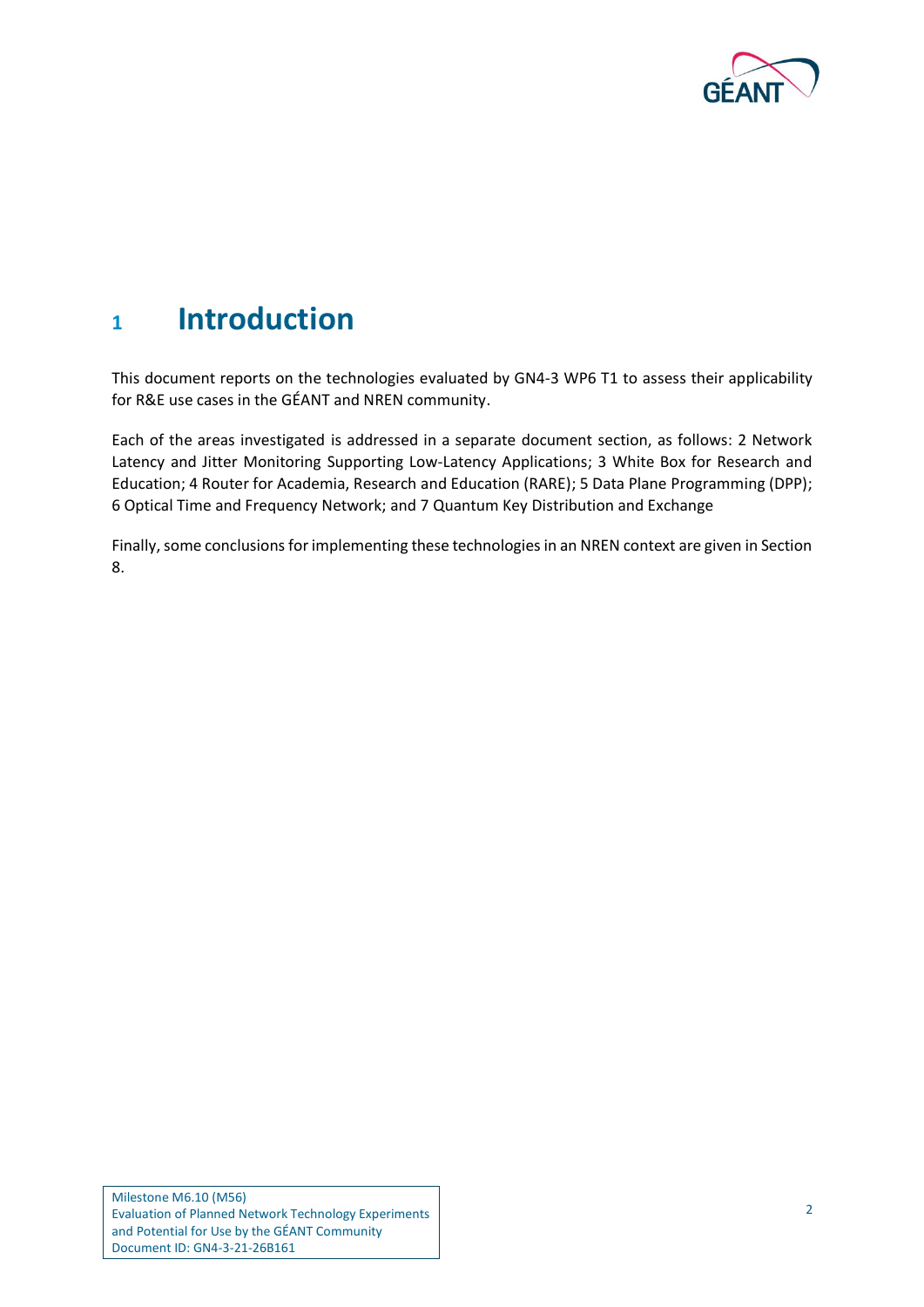

#### <span id="page-3-0"></span>**<sup>1</sup> Introduction**

This document reports on the technologies evaluated by GN4-3 WP6 T1 to assess their applicability for R&E use cases in the GÉANT and NREN community.

Each of the areas investigated is addressed in a separate document section, as follows: [2](#page-4-0) [Network](#page-4-0)  [Latency and Jitter Monitoring Supporting](#page-4-0) Low-Latency Applications; [3](#page-6-0) [White Box for Research and](#page-6-0)  [Education;](#page-6-0) [4](#page-7-0) [Router for Academia, Research and Education \(RARE\);](#page-7-0) [5](#page-9-0) [Data Plane Programming \(DPP\);](#page-9-0) [6](#page-11-0) [Optical Time and Frequency Network;](#page-11-0) and [7](#page-12-0) [Quantum Key Distribution and Exchange](#page-12-0)

Finally, some conclusions for implementing these technologies in an NREN context are given in Section [8.](#page-14-0)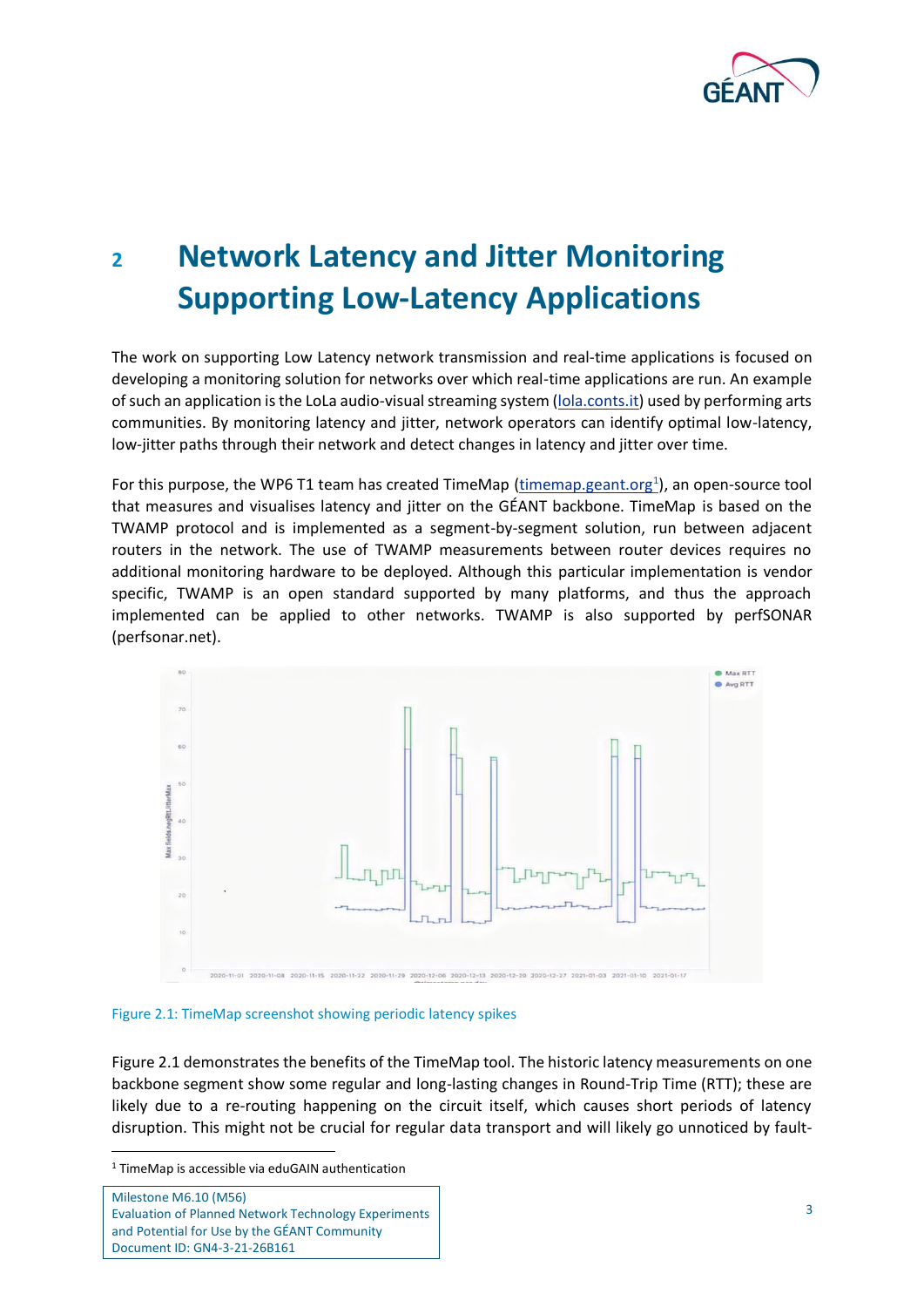

# <span id="page-4-0"></span>**<sup>2</sup> Network Latency and Jitter Monitoring Supporting Low-Latency Applications**

The work on supporting Low Latency network transmission and real-time applications is focused on developing a monitoring solution for networks over which real-time applications are run. An example of such an application is the LoLa audio-visual streaming system [\(lola.conts.it\)](https://lola.conts.it/) used by performing arts communities. By monitoring latency and jitter, network operators can identify optimal low-latency, low-jitter paths through their network and detect changes in latency and jitter over time.

For this purpose, the WP6 T1 team has created TimeMap (**timemap.geant.org<sup>1</sup>)**, an open-source tool that measures and visualises latency and jitter on the GÉANT backbone. TimeMap is based on the TWAMP protocol and is implemented as a segment-by-segment solution, run between adjacent routers in the network. The use of TWAMP measurements between router devices requires no additional monitoring hardware to be deployed. Although this particular implementation is vendor specific, TWAMP is an open standard supported by many platforms, and thus the approach implemented can be applied to other networks. TWAMP is also supported by perfSONAR (perfsonar.net).



<span id="page-4-1"></span>Figure 2.1: TimeMap screenshot showing periodic latency spikes

[Figure 2.1](#page-4-1) demonstrates the benefits of the TimeMap tool. The historic latency measurements on one backbone segment show some regular and long-lasting changes in Round-Trip Time (RTT); these are likely due to a re-routing happening on the circuit itself, which causes short periods of latency disruption. This might not be crucial for regular data transport and will likely go unnoticed by fault-

<sup>1</sup> TimeMap is accessible via eduGAIN authentication

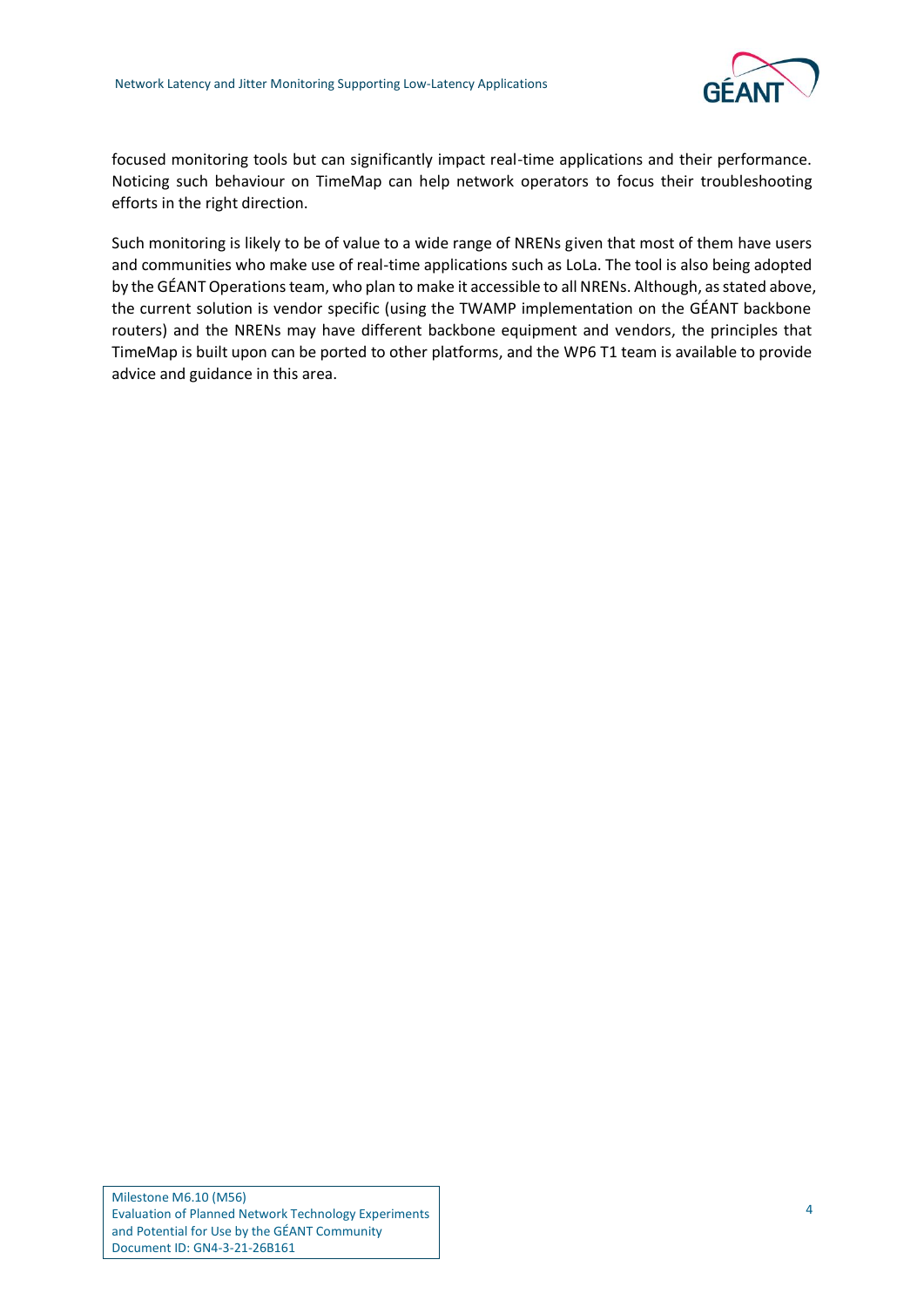

focused monitoring tools but can significantly impact real-time applications and their performance. Noticing such behaviour on TimeMap can help network operators to focus their troubleshooting efforts in the right direction.

Such monitoring is likely to be of value to a wide range of NRENs given that most of them have users and communities who make use of real-time applications such as LoLa. The tool is also being adopted by the GÉANT Operations team, who plan to make it accessible to all NRENs. Although, as stated above, the current solution is vendor specific (using the TWAMP implementation on the GÉANT backbone routers) and the NRENs may have different backbone equipment and vendors, the principles that TimeMap is built upon can be ported to other platforms, and the WP6 T1 team is available to provide advice and guidance in this area.

Milestone M6.10 (M56) Evaluation of Planned Network Technology Experiments and Potential for Use by the GÉANT Community Document ID: GN4-3-21-26B161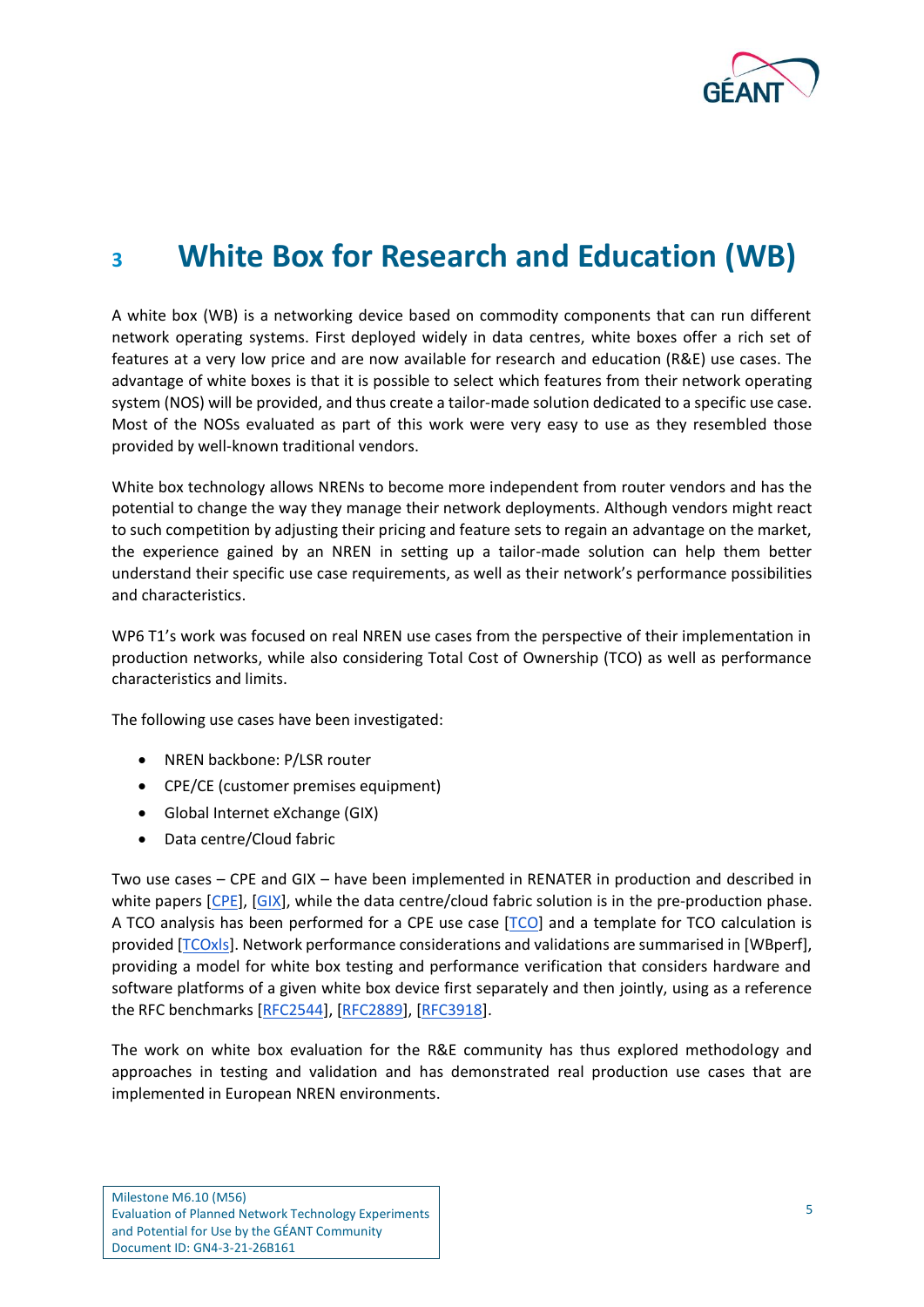

### <span id="page-6-0"></span>**<sup>3</sup> White Box for Research and Education (WB)**

A white box (WB) is a networking device based on commodity components that can run different network operating systems. First deployed widely in data centres, white boxes offer a rich set of features at a very low price and are now available for research and education (R&E) use cases. The advantage of white boxes is that it is possible to select which features from their network operating system (NOS) will be provided, and thus create a tailor-made solution dedicated to a specific use case. Most of the NOSs evaluated as part of this work were very easy to use as they resembled those provided by well-known traditional vendors.

White box technology allows NRENs to become more independent from router vendors and has the potential to change the way they manage their network deployments. Although vendors might react to such competition by adjusting their pricing and feature sets to regain an advantage on the market, the experience gained by an NREN in setting up a tailor-made solution can help them better understand their specific use case requirements, as well as their network's performance possibilities and characteristics.

WP6 T1's work was focused on real NREN use cases from the perspective of their implementation in production networks, while also considering Total Cost of Ownership (TCO) as well as performance characteristics and limits.

The following use cases have been investigated:

- NREN backbone: P/LSR router
- CPE/CE (customer premises equipment)
- Global Internet eXchange (GIX)
- Data centre/Cloud fabric

Two use cases – CPE and GIX – have been implemented in RENATER in production and described in white papers [\[CPE\]](#page-16-1), [\[GIX\]](#page-16-2), while the data centre/cloud fabric solution is in the pre-production phase. A TCO analysis has been performed for a CPE use case [\[TCO\]](#page-17-0) and a template for TCO calculation is provided [\[TCOxls\]](#page-17-1). Network performance considerations and validations are summarised in [\[WBperf\]](#page-17-2), providing a model for white box testing and performance verification that considers hardware and software platforms of a given white box device first separately and then jointly, using as a reference the RFC benchmarks [\[RFC2544\]](#page-17-3), [\[RFC2889\]](#page-17-4), [\[RFC3918\]](#page-17-5).

The work on white box evaluation for the R&E community has thus explored methodology and approaches in testing and validation and has demonstrated real production use cases that are implemented in European NREN environments.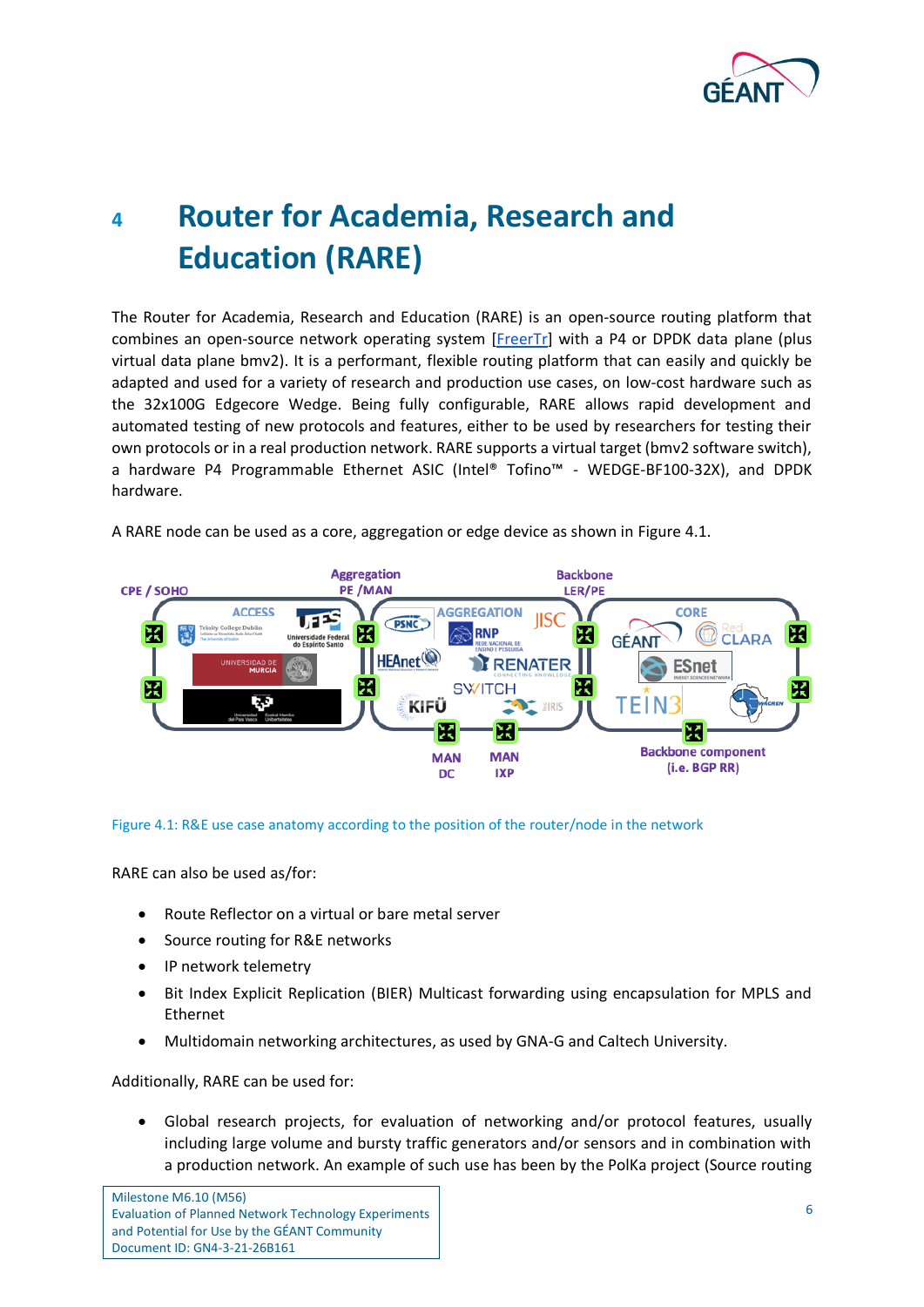

# <span id="page-7-0"></span>**<sup>4</sup> Router for Academia, Research and Education (RARE)**

The Router for Academia, Research and Education (RARE) is an open-source routing platform that combines an open-source network operating system [FreerTr] with a P4 or DPDK data plane (plus virtual data plane bmv2). It is a performant, flexible routing platform that can easily and quickly be adapted and used for a variety of research and production use cases, on low-cost hardware such as the 32x100G Edgecore Wedge. Being fully configurable, RARE allows rapid development and automated testing of new protocols and features, either to be used by researchers for testing their own protocols or in a real production network. RARE supports a virtual target (bmv2 software switch), a hardware P4 Programmable Ethernet ASIC (Intel® Tofino™ - WEDGE-BF100-32X), and DPDK hardware.



A RARE node can be used as a core, aggregation or edge device as shown in [Figure 4.1.](#page-7-1)

<span id="page-7-1"></span>Figure 4.1: R&E use case anatomy according to the position of the router/node in the network

RARE can also be used as/for:

- Route Reflector on a virtual or bare metal server
- Source routing for R&E networks
- IP network telemetry
- Bit Index Explicit Replication (BIER) Multicast forwarding using encapsulation for MPLS and Ethernet
- Multidomain networking architectures, as used by GNA-G and Caltech University.

Additionally, RARE can be used for:

• Global research projects, for evaluation of networking and/or protocol features, usually including large volume and bursty traffic generators and/or sensors and in combination with a production network. An example of such use has been by the PolKa project (Source routing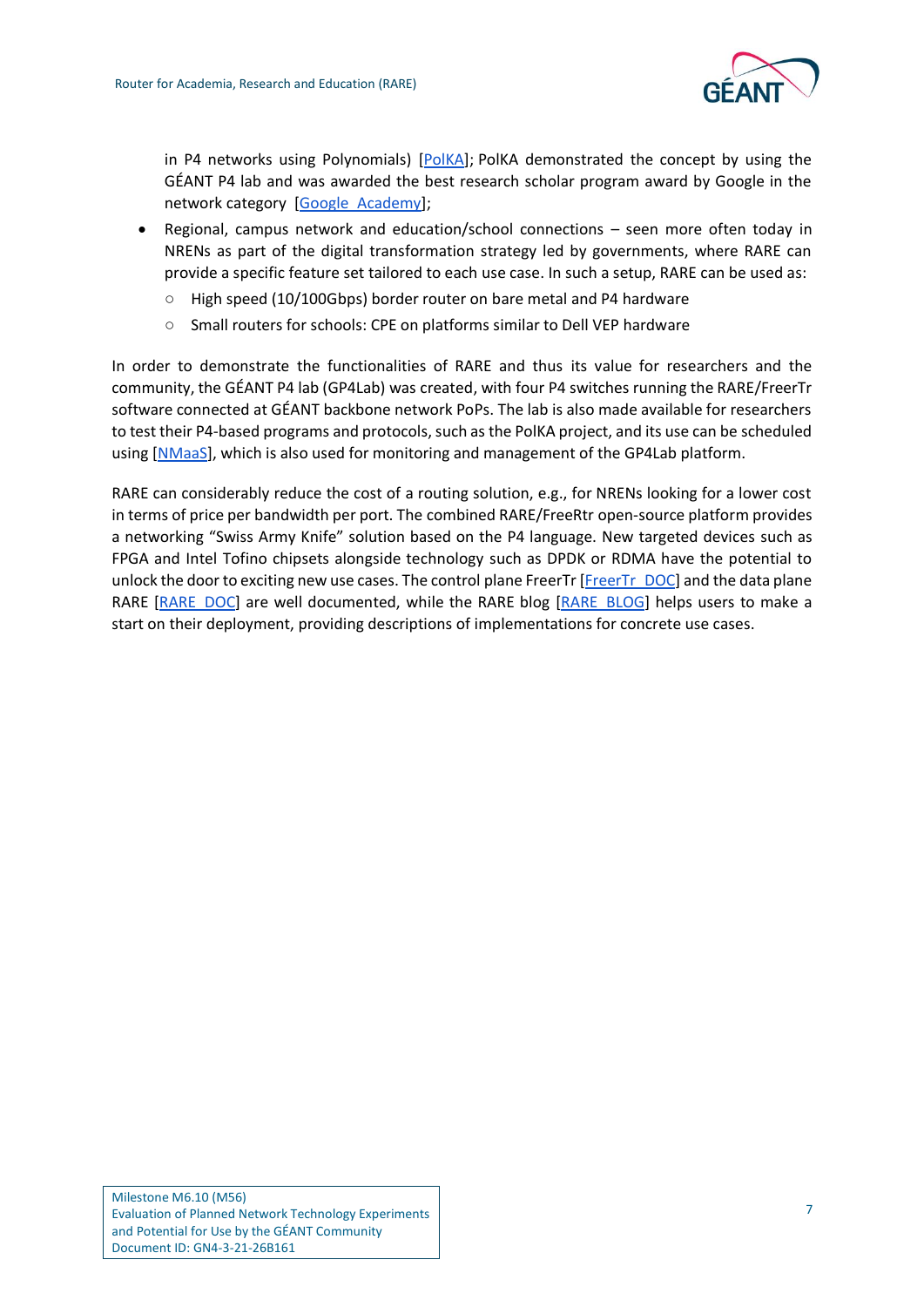

in P4 networks using Polynomials) [\[PolKA\]](#page-16-3); PolKA demonstrated the concept by using the GÉANT P4 lab and was awarded the best research scholar program award by Google in the network category [\[Google\\_Academy\]](#page-16-4);

- Regional, campus network and education/school connections seen more often today in NRENs as part of the digital transformation strategy led by governments, where RARE can provide a specific feature set tailored to each use case. In such a setup, RARE can be used as:
	- High speed (10/100Gbps) border router on bare metal and P4 hardware
	- Small routers for schools: CPE on platforms similar to Dell VEP hardware

In order to demonstrate the functionalities of RARE and thus its value for researchers and the community, the GÉANT P4 lab (GP4Lab) was created, with four P4 switches running the RARE/FreerTr software connected at GÉANT backbone network PoPs. The lab is also made available for researchers to test their P4-based programs and protocols, such as the PolKA project, and its use can be scheduled using [\[NMaaS\]](#page-16-5), which is also used for monitoring and management of the GP4Lab platform.

RARE can considerably reduce the cost of a routing solution, e.g., for NRENs looking for a lower cost in terms of price per bandwidth per port. The combined RARE/FreeRtr open-source platform provides a networking "Swiss Army Knife" solution based on the P4 language. New targeted devices such as FPGA and Intel Tofino chipsets alongside technology such as DPDK or RDMA have the potential to unlock the door to exciting new use cases. The control plane FreerTr [\[FreerTr\\_DOC\]](#page-16-6) and the data plane RARE [\[RARE\\_DOC\]](#page-17-6) are well documented, while the RARE blog [\[RARE\\_BLOG\]](#page-17-7) helps users to make a start on their deployment, providing descriptions of implementations for concrete use cases.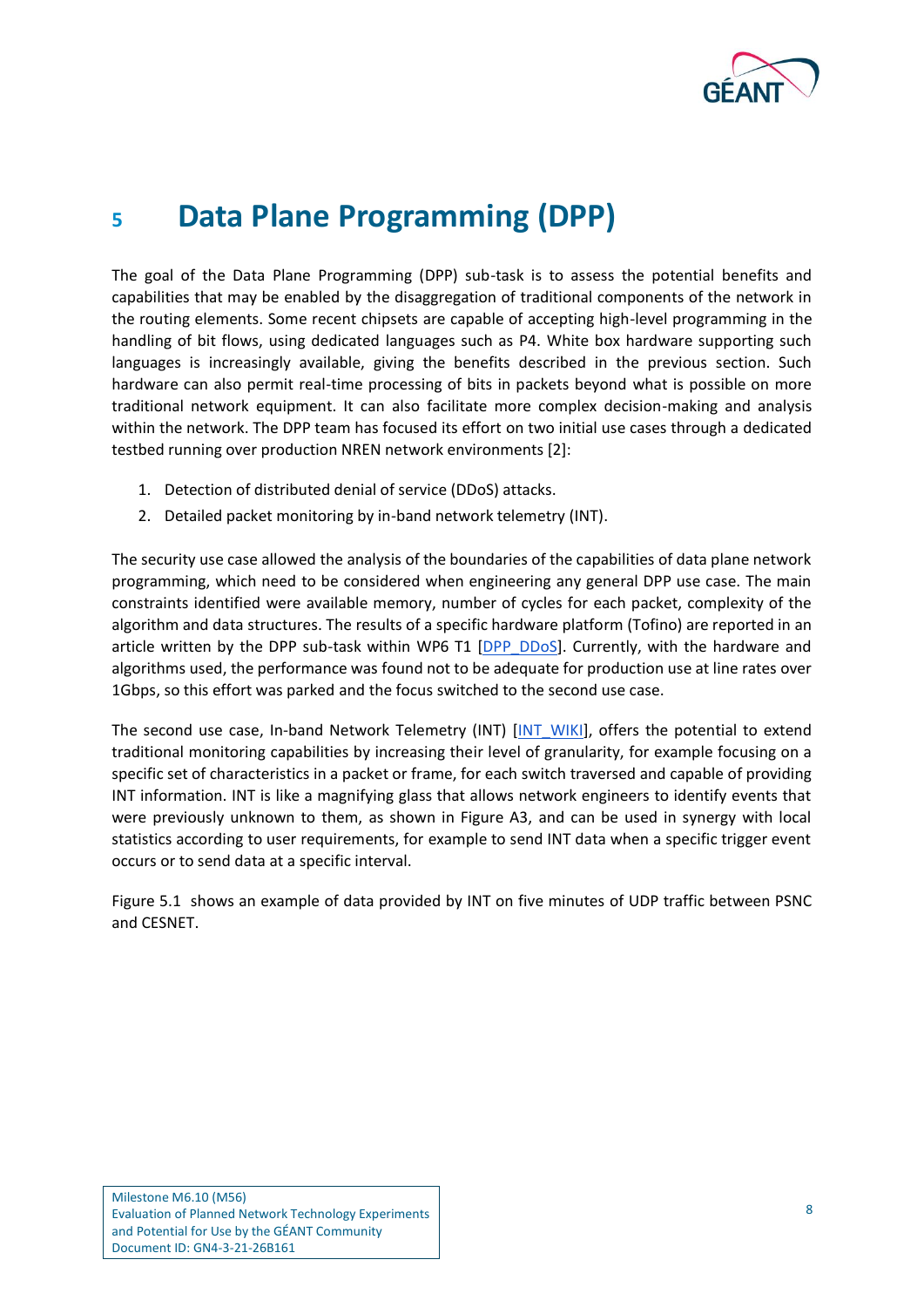

#### <span id="page-9-0"></span>**<sup>5</sup> Data Plane Programming (DPP)**

The goal of the Data Plane Programming (DPP) sub-task is to assess the potential benefits and capabilities that may be enabled by the disaggregation of traditional components of the network in the routing elements. Some recent chipsets are capable of accepting high-level programming in the handling of bit flows, using dedicated languages such as P4. White box hardware supporting such languages is increasingly available, giving the benefits described in the previous section. Such hardware can also permit real-time processing of bits in packets beyond what is possible on more traditional network equipment. It can also facilitate more complex decision-making and analysis within the network. The DPP team has focused its effort on two initial use cases through a dedicated testbed running over production NREN network environments [2]:

- 1. Detection of distributed denial of service (DDoS) attacks.
- 2. Detailed packet monitoring by in-band network telemetry (INT).

The security use case allowed the analysis of the boundaries of the capabilities of data plane network programming, which need to be considered when engineering any general DPP use case. The main constraints identified were available memory, number of cycles for each packet, complexity of the algorithm and data structures. The results of a specific hardware platform (Tofino) are reported in an article written by the DPP sub-task within WP6 T1 [\[DPP\\_DDoS\]](#page-16-7). Currently, with the hardware and algorithms used, the performance was found not to be adequate for production use at line rates over 1Gbps, so this effort was parked and the focus switched to the second use case.

The second use case, In-band Network Telemetry (INT) [\[INT\\_WIKI\]](#page-16-8), offers the potential to extend traditional monitoring capabilities by increasing their level of granularity, for example focusing on a specific set of characteristics in a packet or frame, for each switch traversed and capable of providing INT information. INT is like a magnifying glass that allows network engineers to identify events that were previously unknown to them, as shown in Figure A3, and can be used in synergy with local statistics according to user requirements, for example to send INT data when a specific trigger event occurs or to send data at a specific interval.

[Figure 5.1](#page-10-0) shows an example of data provided by INT on five minutes of UDP traffic between PSNC and CESNET.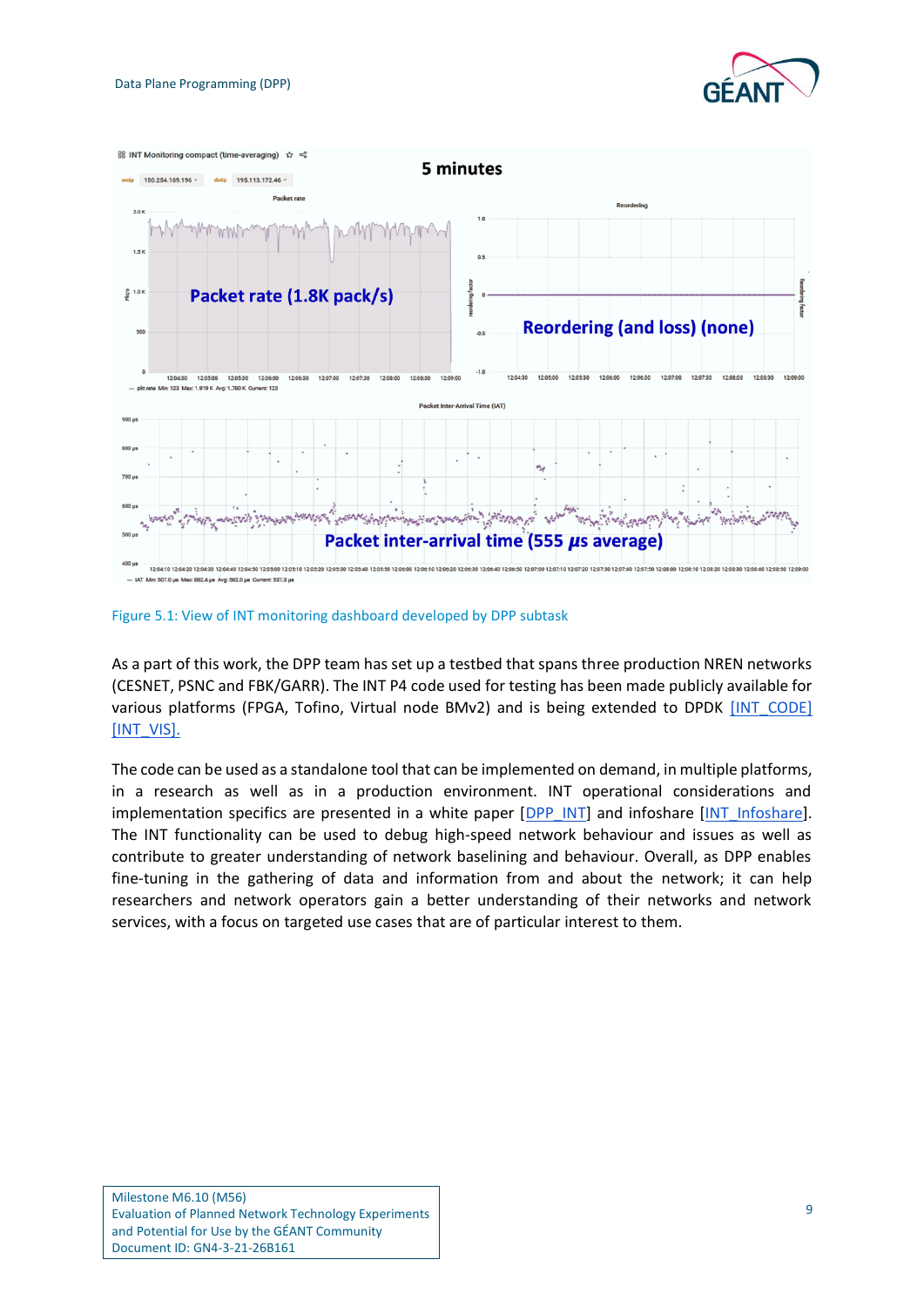



<span id="page-10-0"></span>Figure 5.1: View of INT monitoring dashboard developed by DPP subtask

As a part of this work, the DPP team has set up a testbed that spans three production NREN networks (CESNET, PSNC and FBK/GARR). The INT P4 code used for testing has been made publicly available for various platforms (FPGA, Tofino, Virtual node BMv2) and is being extended to DPDK [\[INT\\_CODE\]](#page-16-9) [\[INT\\_VIS\]](#page-16-10).

The code can be used as a standalone tool that can be implemented on demand, in multiple platforms, in a research as well as in a production environment. INT operational considerations and implementation specifics are presented in a white paper [\[DPP\\_INT\]](#page-16-11) and infoshare [INT\_Infoshare]. The INT functionality can be used to debug high-speed network behaviour and issues as well as contribute to greater understanding of network baselining and behaviour. Overall, as DPP enables fine-tuning in the gathering of data and information from and about the network; it can help researchers and network operators gain a better understanding of their networks and network services, with a focus on targeted use cases that are of particular interest to them.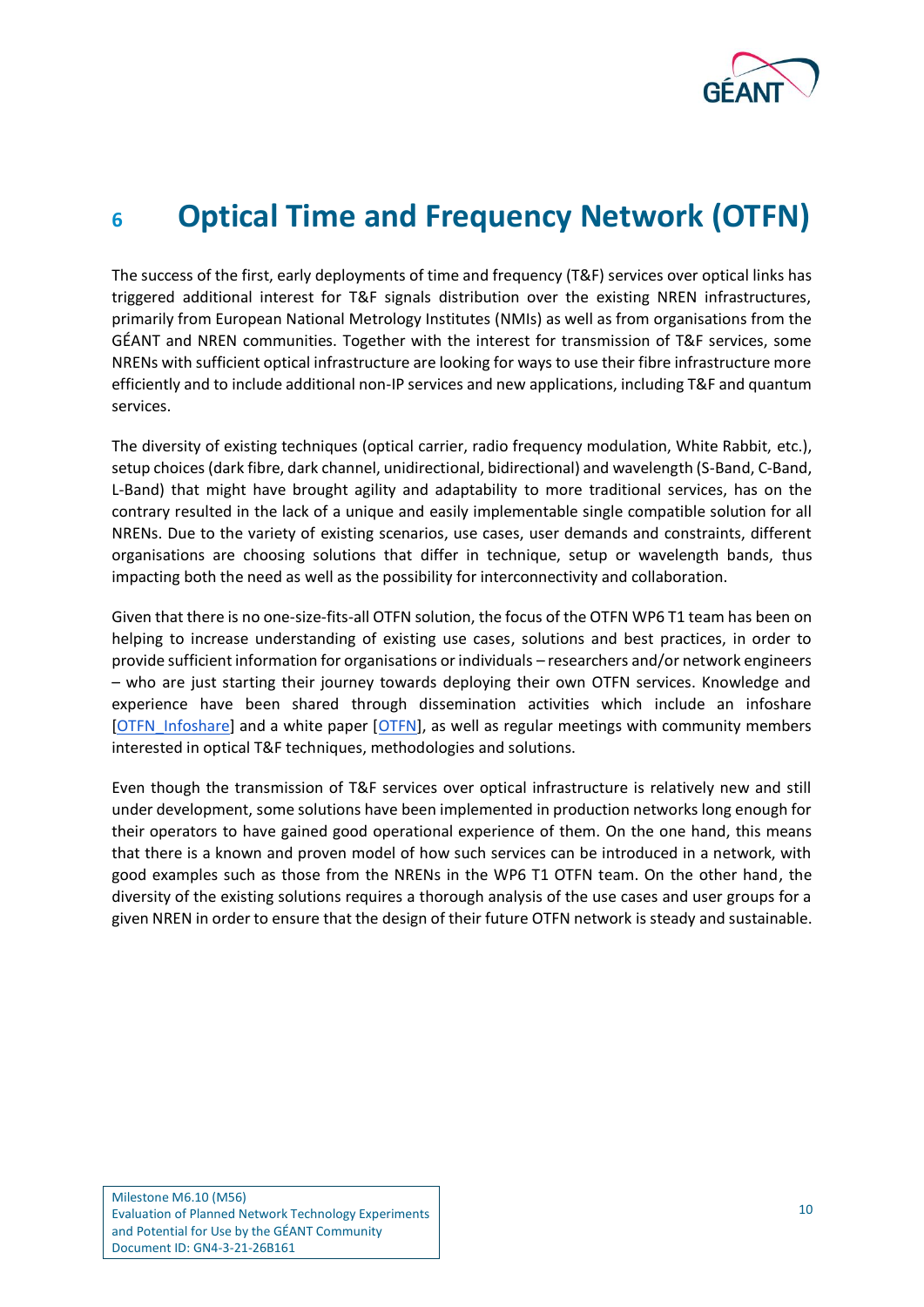

### <span id="page-11-0"></span>**<sup>6</sup> Optical Time and Frequency Network (OTFN)**

The success of the first, early deployments of time and frequency (T&F) services over optical links has triggered additional interest for T&F signals distribution over the existing NREN infrastructures, primarily from European National Metrology Institutes (NMIs) as well as from organisations from the GÉANT and NREN communities. Together with the interest for transmission of T&F services, some NRENs with sufficient optical infrastructure are looking for ways to use their fibre infrastructure more efficiently and to include additional non-IP services and new applications, including T&F and quantum services.

The diversity of existing techniques (optical carrier, radio frequency modulation, White Rabbit, etc.), setup choices (dark fibre, dark channel, unidirectional, bidirectional) and wavelength (S-Band, C-Band, L-Band) that might have brought agility and adaptability to more traditional services, has on the contrary resulted in the lack of a unique and easily implementable single compatible solution for all NRENs. Due to the variety of existing scenarios, use cases, user demands and constraints, different organisations are choosing solutions that differ in technique, setup or wavelength bands, thus impacting both the need as well as the possibility for interconnectivity and collaboration.

Given that there is no one-size-fits-all OTFN solution, the focus of the OTFN WP6 T1 team has been on helping to increase understanding of existing use cases, solutions and best practices, in order to provide sufficient information for organisations or individuals – researchers and/or network engineers – who are just starting their journey towards deploying their own OTFN services. Knowledge and experience have been shared through dissemination activities which include an infoshare [\[OTFN\\_Infoshare\]](#page-16-12) and a white paper [OTFN], as well as regular meetings with community members interested in optical T&F techniques, methodologies and solutions.

Even though the transmission of T&F services over optical infrastructure is relatively new and still under development, some solutions have been implemented in production networks long enough for their operators to have gained good operational experience of them. On the one hand, this means that there is a known and proven model of how such services can be introduced in a network, with good examples such as those from the NRENs in the WP6 T1 OTFN team. On the other hand, the diversity of the existing solutions requires a thorough analysis of the use cases and user groups for a given NREN in order to ensure that the design of their future OTFN network is steady and sustainable.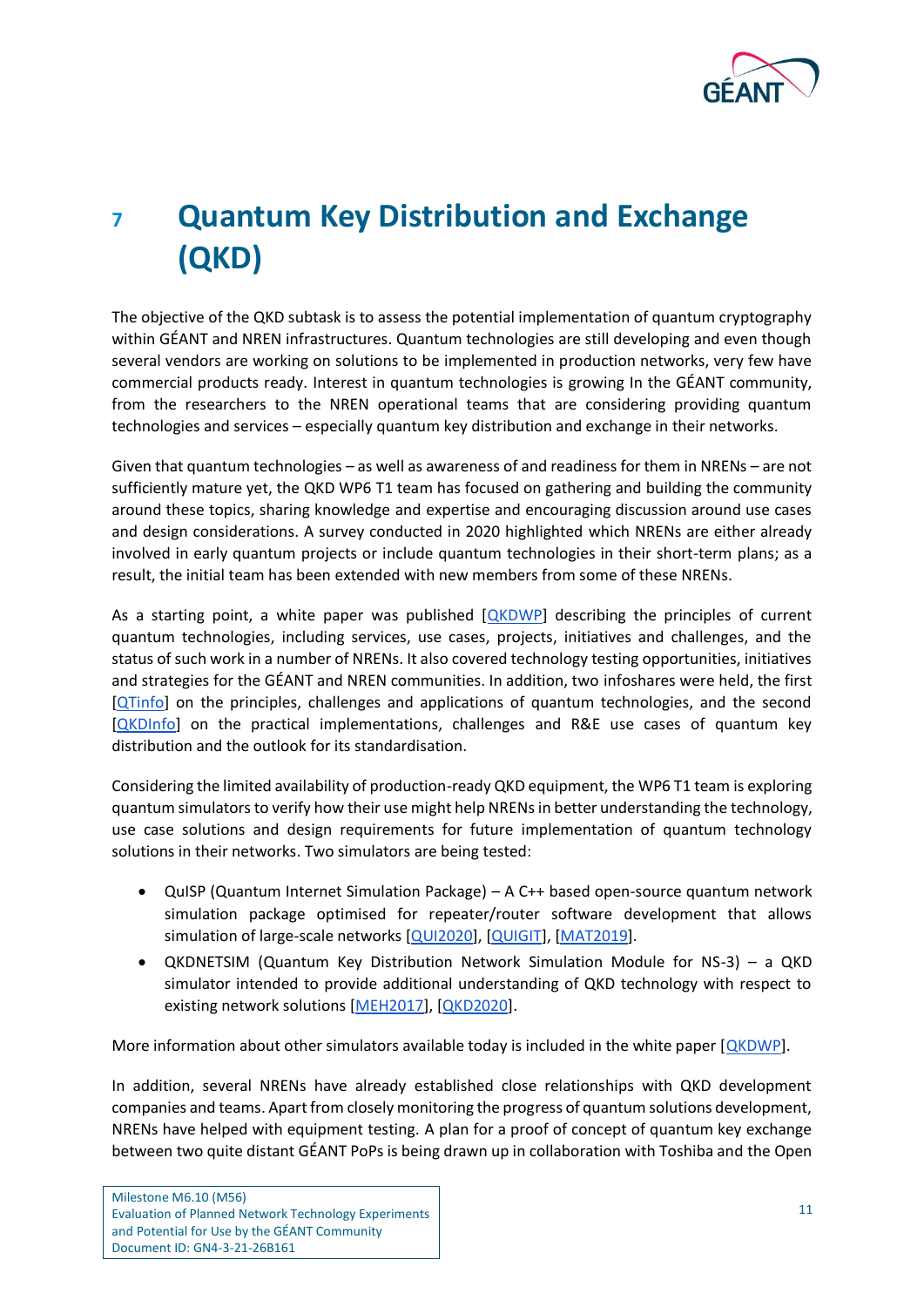

# <span id="page-12-0"></span>**<sup>7</sup> Quantum Key Distribution and Exchange (QKD)**

The objective of the QKD subtask is to assess the potential implementation of quantum cryptography within GÉANT and NREN infrastructures. Quantum technologies are still developing and even though several vendors are working on solutions to be implemented in production networks, very few have commercial products ready. Interest in quantum technologies is growing In the GÉANT community, from the researchers to the NREN operational teams that are considering providing quantum technologies and services – especially quantum key distribution and exchange in their networks.

Given that quantum technologies – as well as awareness of and readiness for them in NRENs – are not sufficiently mature yet, the QKD WP6 T1 team has focused on gathering and building the community around these topics, sharing knowledge and expertise and encouraging discussion around use cases and design considerations. A survey conducted in 2020 highlighted which NRENs are either already involved in early quantum projects or include quantum technologies in their short-term plans; as a result, the initial team has been extended with new members from some of these NRENs.

<span id="page-12-1"></span>As a starting point, a white paper was published [QKDWP] describing the principles of current quantum technologies, including services, use cases, projects, initiatives and challenges, and the status of such work in a number of NRENs. It also covered technology testing opportunities, initiatives and strategies for the GÉANT and NREN communities. In addition, two infoshares were held, the first [\[QTinfo\]](#page-17-8) on the principles, challenges and applications of quantum technologies, and the second [QKDInfo] on the practical implementations, challenges and R&E use cases of quantum key distribution and the outlook for its standardisation.

Considering the limited availability of production-ready QKD equipment, the WP6 T1 team is exploring quantum simulators to verify how their use might help NRENs in better understanding the technology, use case solutions and design requirements for future implementation of quantum technology solutions in their networks. Two simulators are being tested:

- QuISP (Quantum Internet Simulation Package) A C++ based open-source quantum network simulation package optimised for repeater/router software development that allows simulation of large-scale networks [QUI2020], [\[QUIGIT\]](#page-17-9), [\[MAT2019\]](#page-16-13).
- QKDNETSIM (Quantum Key Distribution Network Simulation Module for NS-3) a QKD simulator intended to provide additional understanding of QKD technology with respect to existing network solutions [\[MEH2017\]](#page-16-14), [\[QKD2020\]](#page-17-10).

More information about other simulators available today is included in the white paper  $[QKDWP]$ .

In addition, several NRENs have already established close relationships with QKD development companies and teams. Apart from closely monitoring the progress of quantum solutions development, NRENs have helped with equipment testing. A plan for a proof of concept of quantum key exchange between two quite distant GÉANT PoPs is being drawn up in collaboration with Toshiba and the Open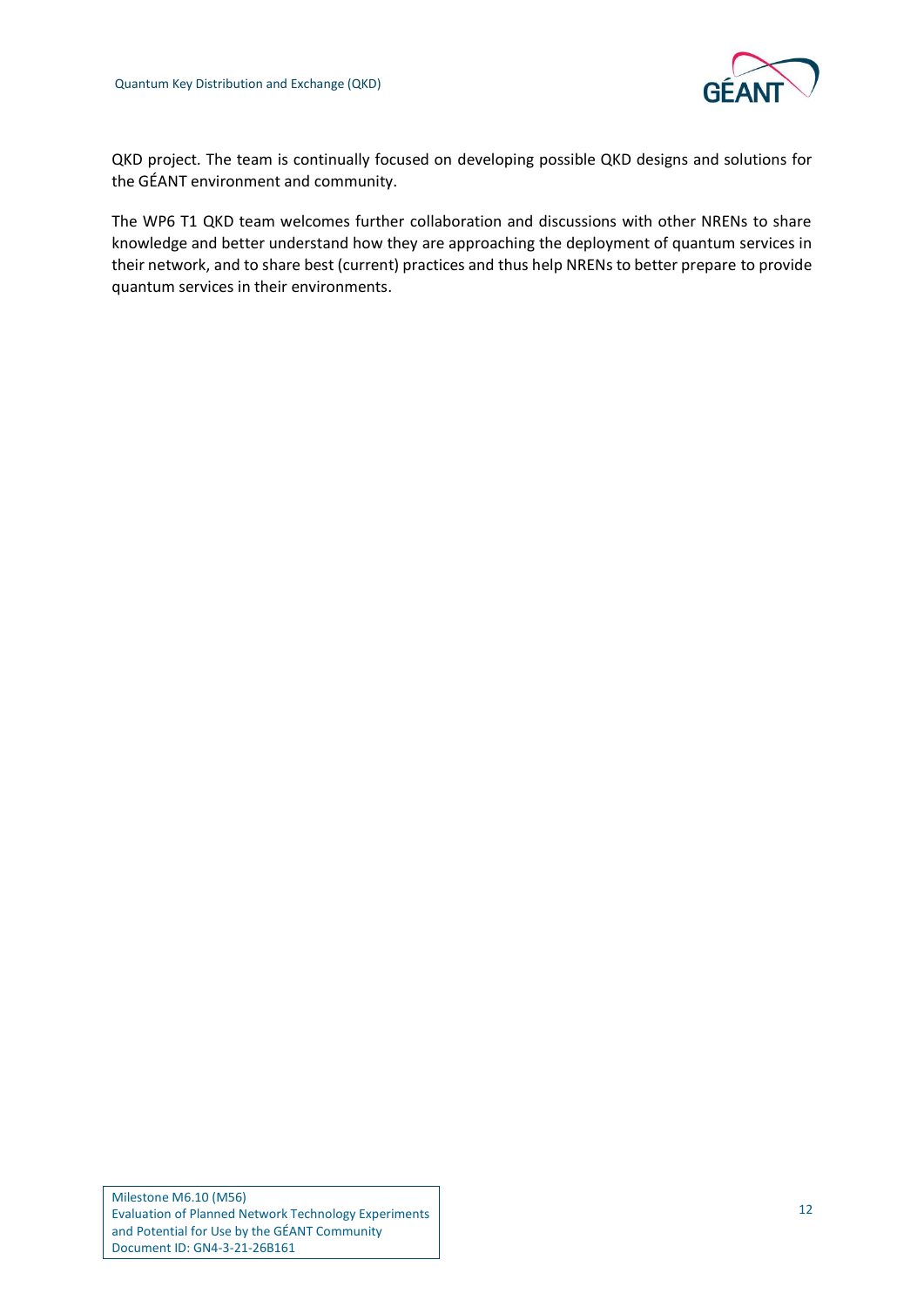

QKD project. The team is continually focused on developing possible QKD designs and solutions for the GÉANT environment and community.

The WP6 T1 QKD team welcomes further collaboration and discussions with other NRENs to share knowledge and better understand how they are approaching the deployment of quantum services in their network, and to share best (current) practices and thus help NRENs to better prepare to provide quantum services in their environments.

Milestone M6.10 (M56) Evaluation of Planned Network Technology Experiments and Potential for Use by the GÉANT Community Document ID: GN4-3-21-26B161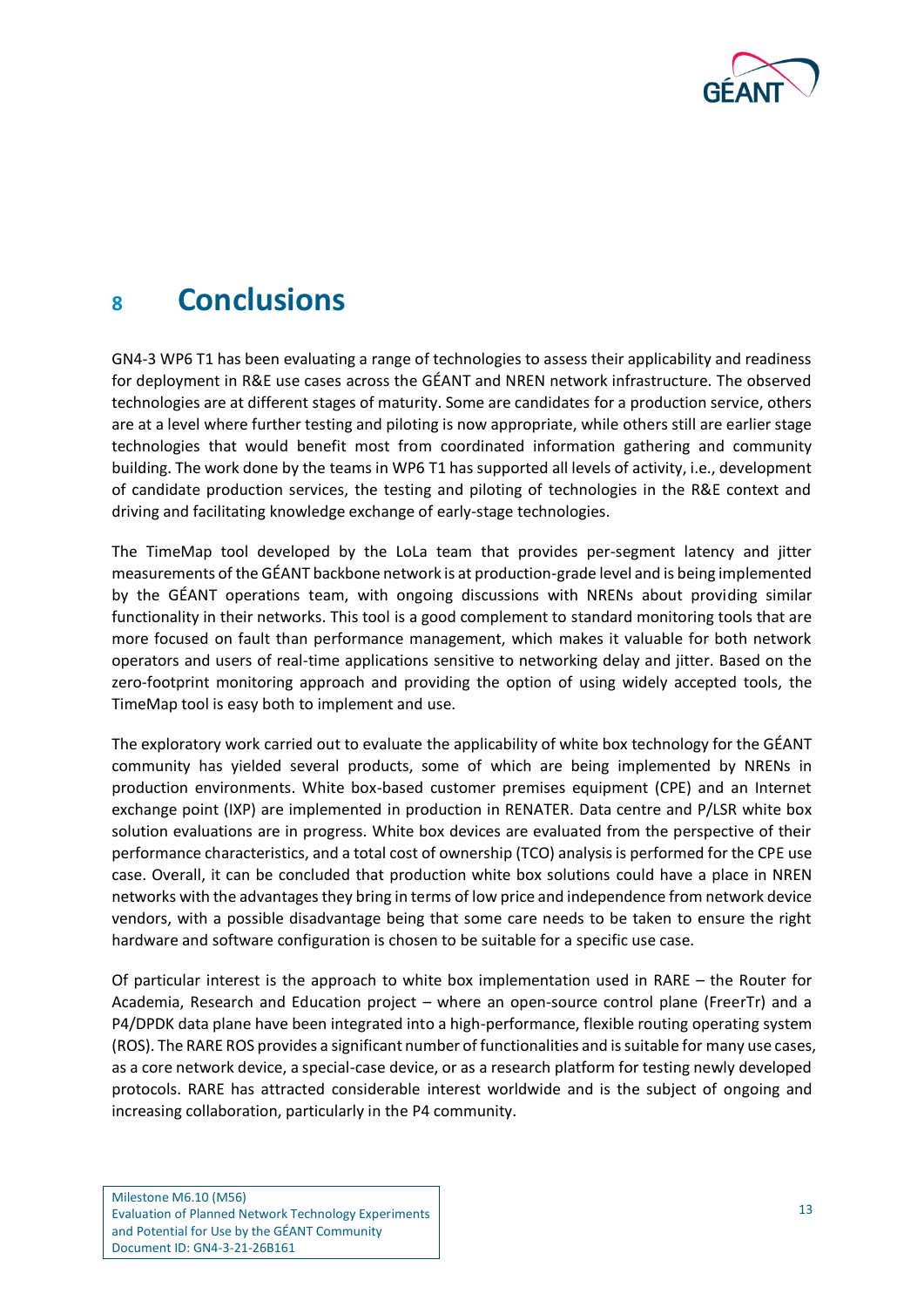

### <span id="page-14-0"></span>**<sup>8</sup> Conclusions**

GN4-3 WP6 T1 has been evaluating a range of technologies to assess their applicability and readiness for deployment in R&E use cases across the GÉANT and NREN network infrastructure. The observed technologies are at different stages of maturity. Some are candidates for a production service, others are at a level where further testing and piloting is now appropriate, while others still are earlier stage technologies that would benefit most from coordinated information gathering and community building. The work done by the teams in WP6 T1 has supported all levels of activity, i.e., development of candidate production services, the testing and piloting of technologies in the R&E context and driving and facilitating knowledge exchange of early-stage technologies.

The TimeMap tool developed by the LoLa team that provides per-segment latency and jitter measurements of the GÉANT backbone network is at production-grade level and is being implemented by the GÉANT operations team, with ongoing discussions with NRENs about providing similar functionality in their networks. This tool is a good complement to standard monitoring tools that are more focused on fault than performance management, which makes it valuable for both network operators and users of real-time applications sensitive to networking delay and jitter. Based on the zero-footprint monitoring approach and providing the option of using widely accepted tools, the TimeMap tool is easy both to implement and use.

The exploratory work carried out to evaluate the applicability of white box technology for the GÉANT community has yielded several products, some of which are being implemented by NRENs in production environments. White box-based customer premises equipment (CPE) and an Internet exchange point (IXP) are implemented in production in RENATER. Data centre and P/LSR white box solution evaluations are in progress. White box devices are evaluated from the perspective of their performance characteristics, and a total cost of ownership (TCO) analysis is performed for the CPE use case. Overall, it can be concluded that production white box solutions could have a place in NREN networks with the advantages they bring in terms of low price and independence from network device vendors, with a possible disadvantage being that some care needs to be taken to ensure the right hardware and software configuration is chosen to be suitable for a specific use case.

Of particular interest is the approach to white box implementation used in RARE – the Router for Academia, Research and Education project – where an open-source control plane (FreerTr) and a P4/DPDK data plane have been integrated into a high-performance, flexible routing operating system (ROS). The RARE ROS provides a significant number of functionalities and is suitable for many use cases, as a core network device, a special-case device, or as a research platform for testing newly developed protocols. RARE has attracted considerable interest worldwide and is the subject of ongoing and increasing collaboration, particularly in the P4 community.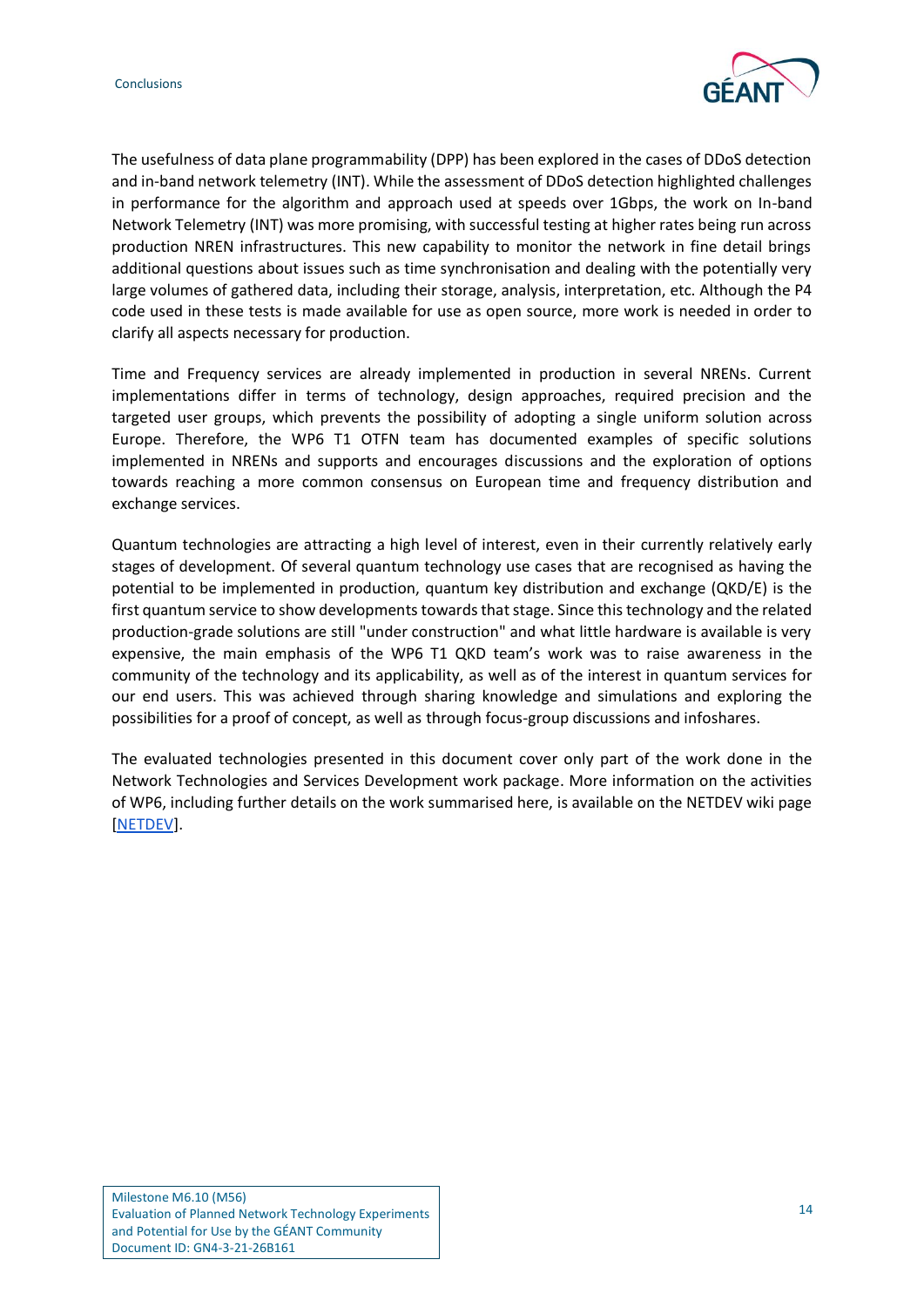

The usefulness of data plane programmability (DPP) has been explored in the cases of DDoS detection and in-band network telemetry (INT). While the assessment of DDoS detection highlighted challenges in performance for the algorithm and approach used at speeds over 1Gbps, the work on In-band Network Telemetry (INT) was more promising, with successful testing at higher rates being run across production NREN infrastructures. This new capability to monitor the network in fine detail brings additional questions about issues such as time synchronisation and dealing with the potentially very large volumes of gathered data, including their storage, analysis, interpretation, etc. Although the P4 code used in these tests is made available for use as open source, more work is needed in order to clarify all aspects necessary for production.

Time and Frequency services are already implemented in production in several NRENs. Current implementations differ in terms of technology, design approaches, required precision and the targeted user groups, which prevents the possibility of adopting a single uniform solution across Europe. Therefore, the WP6 T1 OTFN team has documented examples of specific solutions implemented in NRENs and supports and encourages discussions and the exploration of options towards reaching a more common consensus on European time and frequency distribution and exchange services.

Quantum technologies are attracting a high level of interest, even in their currently relatively early stages of development. Of several quantum technology use cases that are recognised as having the potential to be implemented in production, quantum key distribution and exchange (QKD/E) is the first quantum service to show developments towards that stage. Since thistechnology and the related production-grade solutions are still "under construction" and what little hardware is available is very expensive, the main emphasis of the WP6 T1 QKD team's work was to raise awareness in the community of the technology and its applicability, as well as of the interest in quantum services for our end users. This was achieved through sharing knowledge and simulations and exploring the possibilities for a proof of concept, as well as through focus-group discussions and infoshares.

The evaluated technologies presented in this document cover only part of the work done in the Network Technologies and Services Development work package. More information on the activities of WP6, including further details on the work summarised here, is available on the NETDEV wiki page [\[NETDEV\]](#page-16-15).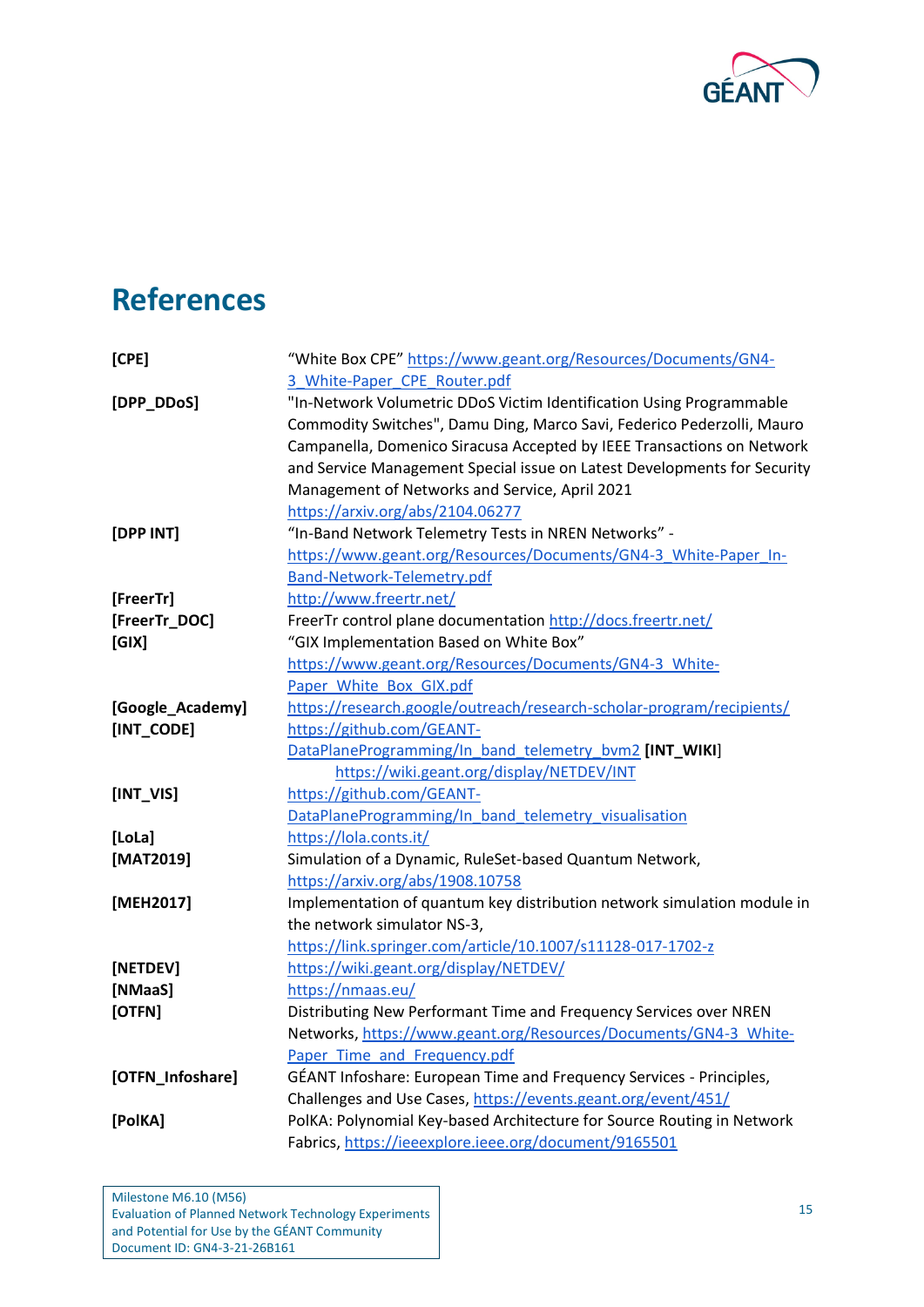

## <span id="page-16-0"></span>**References**

<span id="page-16-15"></span><span id="page-16-14"></span><span id="page-16-13"></span><span id="page-16-12"></span><span id="page-16-11"></span><span id="page-16-10"></span><span id="page-16-9"></span><span id="page-16-8"></span><span id="page-16-7"></span><span id="page-16-6"></span><span id="page-16-5"></span><span id="page-16-4"></span><span id="page-16-3"></span><span id="page-16-2"></span><span id="page-16-1"></span>

| [CPE]            | "White Box CPE" https://www.geant.org/Resources/Documents/GN4-           |
|------------------|--------------------------------------------------------------------------|
|                  | 3 White-Paper CPE Router.pdf                                             |
| [DPP_DDoS]       | "In-Network Volumetric DDoS Victim Identification Using Programmable     |
|                  | Commodity Switches", Damu Ding, Marco Savi, Federico Pederzolli, Mauro   |
|                  | Campanella, Domenico Siracusa Accepted by IEEE Transactions on Network   |
|                  | and Service Management Special issue on Latest Developments for Security |
|                  | Management of Networks and Service, April 2021                           |
|                  | https://arxiv.org/abs/2104.06277                                         |
| [DPP INT]        | "In-Band Network Telemetry Tests in NREN Networks" -                     |
|                  | https://www.geant.org/Resources/Documents/GN4-3 White-Paper In-          |
|                  | Band-Network-Telemetry.pdf                                               |
| [FreerTr]        | http://www.freertr.net/                                                  |
| [FreerTr_DOC]    | FreerTr control plane documentation http://docs.freertr.net/             |
| [G X]            | "GIX Implementation Based on White Box"                                  |
|                  | https://www.geant.org/Resources/Documents/GN4-3 White-                   |
|                  | Paper White Box GIX.pdf                                                  |
| [Google_Academy] | https://research.google/outreach/research-scholar-program/recipients/    |
| [INT_CODE]       | https://github.com/GEANT-                                                |
|                  | DataPlaneProgramming/In band telemetry bvm2 [INT_WIKI]                   |
|                  | https://wiki.geant.org/display/NETDEV/INT                                |
| $[INT_VIS]$      | https://github.com/GEANT-                                                |
|                  | DataPlaneProgramming/In band telemetry visualisation                     |
| [LoLa]           | https://lola.conts.it/                                                   |
| [MAT2019]        | Simulation of a Dynamic, RuleSet-based Quantum Network,                  |
|                  | https://arxiv.org/abs/1908.10758                                         |
| [MEH2017]        | Implementation of quantum key distribution network simulation module in  |
|                  | the network simulator NS-3,                                              |
|                  | https://link.springer.com/article/10.1007/s11128-017-1702-z              |
| [NETDEV]         | https://wiki.geant.org/display/NETDEV/                                   |
| [NMaaS]          | https://nmaas.eu/                                                        |
| [OTFN]           | Distributing New Performant Time and Frequency Services over NREN        |
|                  | Networks, https://www.geant.org/Resources/Documents/GN4-3 White-         |
|                  | Paper Time and Frequency.pdf                                             |
| [OTFN_Infoshare] | GÉANT Infoshare: European Time and Frequency Services - Principles,      |
|                  | Challenges and Use Cases, https://events.geant.org/event/451/            |
| [PolKA]          | PolKA: Polynomial Key-based Architecture for Source Routing in Network   |
|                  | Fabrics, https://ieeexplore.ieee.org/document/9165501                    |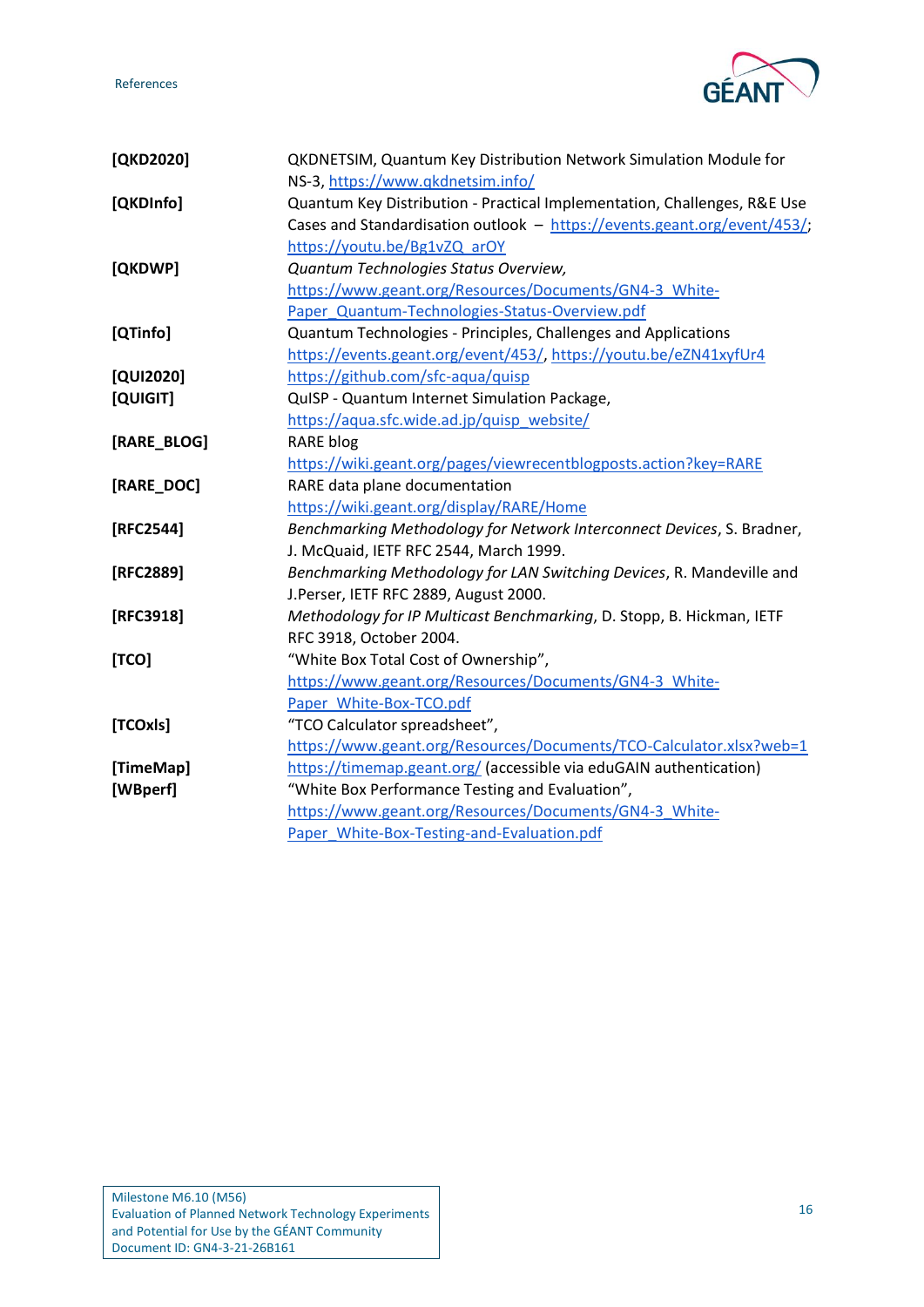References



<span id="page-17-10"></span><span id="page-17-9"></span><span id="page-17-8"></span><span id="page-17-7"></span><span id="page-17-6"></span><span id="page-17-5"></span><span id="page-17-4"></span><span id="page-17-3"></span><span id="page-17-2"></span><span id="page-17-1"></span><span id="page-17-0"></span>

| [QKD2020]   | QKDNETSIM, Quantum Key Distribution Network Simulation Module for        |
|-------------|--------------------------------------------------------------------------|
|             | NS-3, https://www.gkdnetsim.info/                                        |
| [QKDInfo]   | Quantum Key Distribution - Practical Implementation, Challenges, R&E Use |
|             | Cases and Standardisation outlook - https://events.geant.org/event/453/; |
|             | https://youtu.be/Bg1vZQ arOY                                             |
| [QKDWP]     | Quantum Technologies Status Overview,                                    |
|             | https://www.geant.org/Resources/Documents/GN4-3 White-                   |
|             | Paper Quantum-Technologies-Status-Overview.pdf                           |
| [QTinfo]    | Quantum Technologies - Principles, Challenges and Applications           |
|             | https://events.geant.org/event/453/, https://youtu.be/eZN41xyfUr4        |
| [QUI2020]   | https://github.com/sfc-aqua/quisp                                        |
| [QUIGIT]    | QuISP - Quantum Internet Simulation Package,                             |
|             | https://aqua.sfc.wide.ad.jp/quisp website/                               |
| [RARE_BLOG] | <b>RARE blog</b>                                                         |
|             | https://wiki.geant.org/pages/viewrecentblogposts.action?key=RARE         |
| [RARE_DOC]  | RARE data plane documentation                                            |
|             | https://wiki.geant.org/display/RARE/Home                                 |
| [RFC2544]   | Benchmarking Methodology for Network Interconnect Devices, S. Bradner,   |
|             | J. McQuaid, IETF RFC 2544, March 1999.                                   |
| [RFC2889]   | Benchmarking Methodology for LAN Switching Devices, R. Mandeville and    |
|             | J.Perser, IETF RFC 2889, August 2000.                                    |
| [RFC3918]   | Methodology for IP Multicast Benchmarking, D. Stopp, B. Hickman, IETF    |
|             | RFC 3918, October 2004.                                                  |
| [TCO]       | "White Box Total Cost of Ownership",                                     |
|             | https://www.geant.org/Resources/Documents/GN4-3 White-                   |
|             | Paper White-Box-TCO.pdf                                                  |
| [TCOxls]    | "TCO Calculator spreadsheet",                                            |
|             | https://www.geant.org/Resources/Documents/TCO-Calculator.xlsx?web=1      |
| [TimeMap]   | https://timemap.geant.org/ (accessible via eduGAIN authentication)       |
| [WBperf]    | "White Box Performance Testing and Evaluation",                          |
|             | https://www.geant.org/Resources/Documents/GN4-3 White-                   |
|             | Paper White-Box-Testing-and-Evaluation.pdf                               |